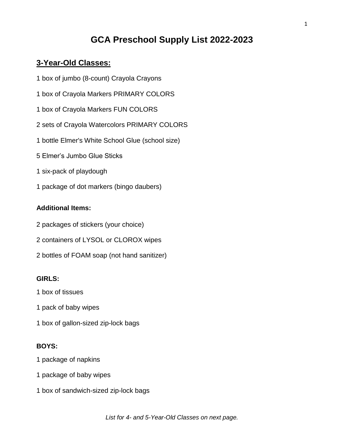# **GCA Preschool Supply List 2022-2023**

# **3-Year-Old Classes:**

- 1 box of jumbo (8-count) Crayola Crayons
- 1 box of Crayola Markers PRIMARY COLORS
- 1 box of Crayola Markers FUN COLORS
- 2 sets of Crayola Watercolors PRIMARY COLORS
- 1 bottle Elmer's White School Glue (school size)
- 5 Elmer's Jumbo Glue Sticks
- 1 six-pack of playdough
- 1 package of dot markers (bingo daubers)

## **Additional Items:**

- 2 packages of stickers (your choice)
- 2 containers of LYSOL or CLOROX wipes
- 2 bottles of FOAM soap (not hand sanitizer)

## **GIRLS:**

- 1 box of tissues
- 1 pack of baby wipes
- 1 box of gallon-sized zip-lock bags

# **BOYS:**

- 1 package of napkins
- 1 package of baby wipes
- 1 box of sandwich-sized zip-lock bags